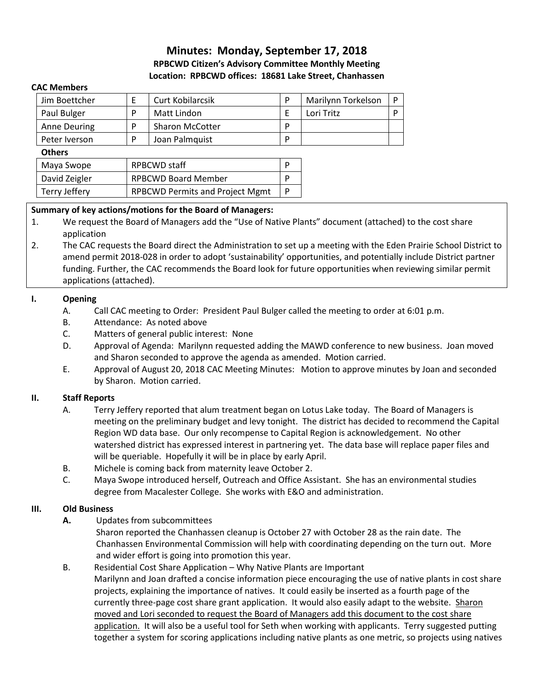# **Minutes: Monday, September 17, 2018 RPBCWD Citizen's Advisory Committee Monthly Meeting Location: RPBCWD offices: 18681 Lake Street, Chanhassen**

#### **CAC Members**

| Jim Boettcher | Curt Kobilarcsik       | Marilynn Torkelson |  |
|---------------|------------------------|--------------------|--|
| Paul Bulger   | Matt Lindon            | Lori Tritz         |  |
| Anne Deuring  | <b>Sharon McCotter</b> |                    |  |
| Peter Iverson | Joan Palmquist         |                    |  |

#### **Others**

| Maya Swope    | RPBCWD staff                           |  |
|---------------|----------------------------------------|--|
| David Zeigler | <b>RPBCWD Board Member</b>             |  |
| Terry Jeffery | <b>RPBCWD Permits and Project Mgmt</b> |  |

### **Summary of key actions/motions for the Board of Managers:**

- 1. We request the Board of Managers add the "Use of Native Plants" document (attached) to the cost share application
- 2. The CAC requests the Board direct the Administration to set up a meeting with the Eden Prairie School District to amend permit 2018-028 in order to adopt 'sustainability' opportunities, and potentially include District partner funding. Further, the CAC recommends the Board look for future opportunities when reviewing similar permit applications (attached).

### **I. Opening**

- A. Call CAC meeting to Order: President Paul Bulger called the meeting to order at 6:01 p.m.
- B. Attendance: As noted above
- C. Matters of general public interest: None
- D. Approval of Agenda: Marilynn requested adding the MAWD conference to new business. Joan moved and Sharon seconded to approve the agenda as amended. Motion carried.
- E. Approval of August 20, 2018 CAC Meeting Minutes: Motion to approve minutes by Joan and seconded by Sharon. Motion carried.

#### **II. Staff Reports**

- A. Terry Jeffery reported that alum treatment began on Lotus Lake today. The Board of Managers is meeting on the preliminary budget and levy tonight. The district has decided to recommend the Capital Region WD data base. Our only recompense to Capital Region is acknowledgement. No other watershed district has expressed interest in partnering yet. The data base will replace paper files and will be queriable. Hopefully it will be in place by early April.
- B. Michele is coming back from maternity leave October 2.
- C. Maya Swope introduced herself, Outreach and Office Assistant. She has an environmental studies degree from Macalester College. She works with E&O and administration.

# **III. Old Business**

- **A.** Updates from subcommittees
	- Sharon reported the Chanhassen cleanup is October 27 with October 28 as the rain date. The Chanhassen Environmental Commission will help with coordinating depending on the turn out. More and wider effort is going into promotion this year.
- B. Residential Cost Share Application Why Native Plants are Important Marilynn and Joan drafted a concise information piece encouraging the use of native plants in cost share projects, explaining the importance of natives. It could easily be inserted as a fourth page of the currently three-page cost share grant application. It would also easily adapt to the website. Sharon moved and Lori seconded to request the Board of Managers add this document to the cost share application. It will also be a useful tool for Seth when working with applicants. Terry suggested putting together a system for scoring applications including native plants as one metric, so projects using natives